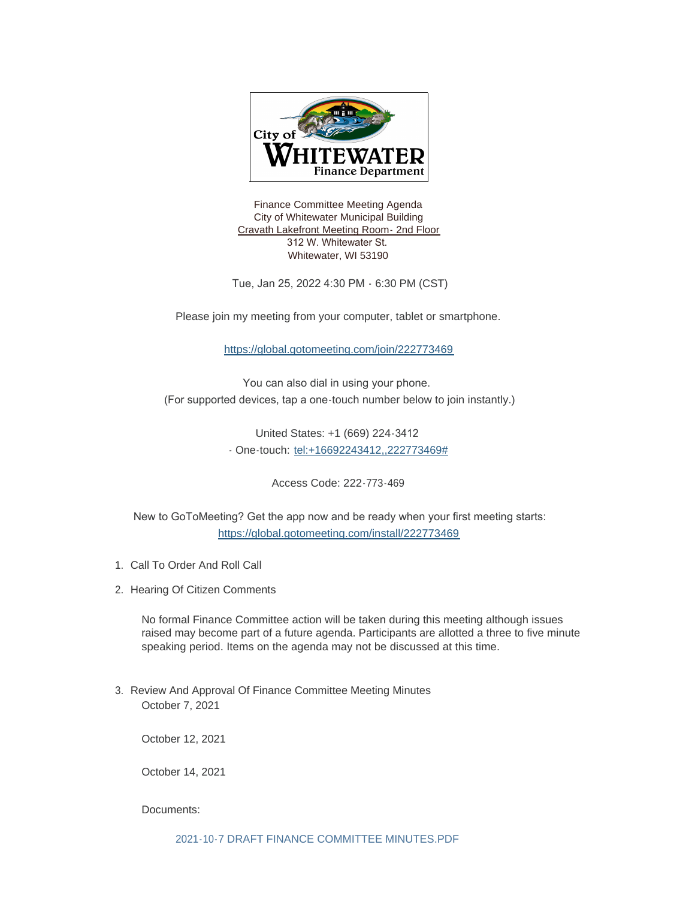

Finance Committee Meeting Agenda City of Whitewater Municipal Building Cravath Lakefront Meeting Room- 2nd Floor 312 W. Whitewater St. Whitewater, WI 53190

Tue, Jan 25, 2022 4:30 PM - 6:30 PM (CST)

Please join my meeting from your computer, tablet or smartphone.

<https://global.gotomeeting.com/join/222773469>

You can also dial in using your phone. (For supported devices, tap a one-touch number below to join instantly.)

> United States: +1 (669) 224-3412 - One-touch: <tel:+16692243412,,222773469#>

> > Access Code: 222-773-469

 [New to GoToMeeting? Get the app now and be ready when your fir](https://global.gotomeeting.com/install/222773469)st meeting starts: https://global.gotomeeting.com/install/222773469

- 1. Call To Order And Roll Call
- 2. Hearing Of Citizen Comments

No formal Finance Committee action will be taken during this meeting although issues raised may become part of a future agenda. Participants are allotted a three to five minute speaking period. Items on the agenda may not be discussed at this time.

3. Review And Approval Of Finance Committee Meeting Minutes October 7, 2021

October 12, 2021

October 14, 2021

Documents: